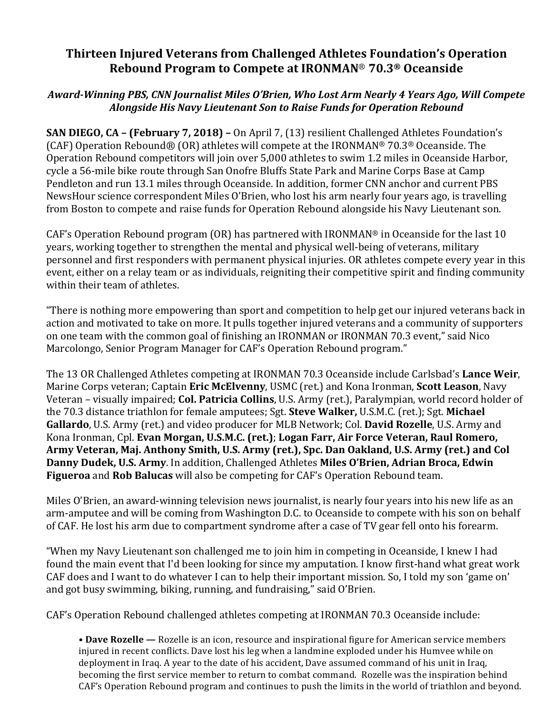## **Thirteen Injured Veterans from Challenged Athletes Foundation's Operation Rebound Program to Compete at IRONMAN**® **70.3® Oceanside**

## *Award-Winning PBS, CNN Journalist Miles O'Brien, Who Lost Arm Nearly 4 Years Ago, Will Compete Alongside His Navy Lieutenant Son to Raise Funds for Operation Rebound*

**SAN DIEGO, CA – (February 7, 2018)** – On April 7, (13) resilient Challenged Athletes Foundation's  $(CAF)$  Operation Rebound® (OR) athletes will compete at the IRONMAN® 70.3® Oceanside. The Operation Rebound competitors will join over 5,000 athletes to swim 1.2 miles in Oceanside Harbor, cycle a 56-mile bike route through San Onofre Bluffs State Park and Marine Corps Base at Camp Pendleton and run 13.1 miles through Oceanside. In addition, former CNN anchor and current PBS NewsHour science correspondent Miles O'Brien, who lost his arm nearly four years ago, is travelling from Boston to compete and raise funds for Operation Rebound alongside his Navy Lieutenant son.

CAF's Operation Rebound program (OR) has partnered with IRONMAN® in Oceanside for the last 10 years, working together to strengthen the mental and physical well-being of veterans, military personnel and first responders with permanent physical injuries. OR athletes compete every year in this event, either on a relay team or as individuals, reigniting their competitive spirit and finding community within their team of athletes.

"There is nothing more empowering than sport and competition to help get our injured veterans back in action and motivated to take on more. It pulls together injured veterans and a community of supporters on one team with the common goal of finishing an IRONMAN or IRONMAN 70.3 event," said Nico Marcolongo, Senior Program Manager for CAF's Operation Rebound program."

The 13 OR Challenged Athletes competing at IRONMAN 70.3 Oceanside include Carlsbad's **Lance Weir**, Marine Corps veteran; Captain Eric McElvenny, USMC (ret.) and Kona Ironman, Scott Leason, Navy Veteran – visually impaired; **Col. Patricia Collins**, U.S. Army (ret.), Paralympian, world record holder of the 70.3 distance triathlon for female amputees; Sgt. **Steve Walker**, U.S.M.C. (ret.); Sgt. Michael Gallardo, U.S. Army (ret.) and video producer for MLB Network; Col. David Rozelle, U.S. Army and Kona Ironman, Cpl. **Evan Morgan, U.S.M.C. (ret.)**; Logan Farr, Air Force Veteran, Raul Romero, Army Veteran, Maj. Anthony Smith, U.S. Army (ret.), Spc. Dan Oakland, U.S. Army (ret.) and Col Danny Dudek, U.S. Army. In addition, Challenged Athletes Miles O'Brien, Adrian Broca, Edwin **Figueroa** and **Rob Balucas** will also be competing for CAF's Operation Rebound team.

Miles O'Brien, an award-winning television news journalist, is nearly four years into his new life as an arm-amputee and will be coming from Washington D.C. to Oceanside to compete with his son on behalf of CAF. He lost his arm due to compartment syndrome after a case of TV gear fell onto his forearm.

"When my Navy Lieutenant son challenged me to join him in competing in Oceanside, I knew I had found the main event that I'd been looking for since my amputation. I know first-hand what great work CAF does and I want to do whatever I can to help their important mission. So, I told my son 'game on' and got busy swimming, biking, running, and fundraising," said O'Brien.

CAF's Operation Rebound challenged athletes competing at IRONMAN 70.3 Oceanside include:

• **Dave Rozelle** — Rozelle is an icon, resource and inspirational figure for American service members injured in recent conflicts. Dave lost his leg when a landmine exploded under his Humvee while on deployment in Iraq. A year to the date of his accident, Dave assumed command of his unit in Iraq, becoming the first service member to return to combat command. Rozelle was the inspiration behind CAF's Operation Rebound program and continues to push the limits in the world of triathlon and beyond.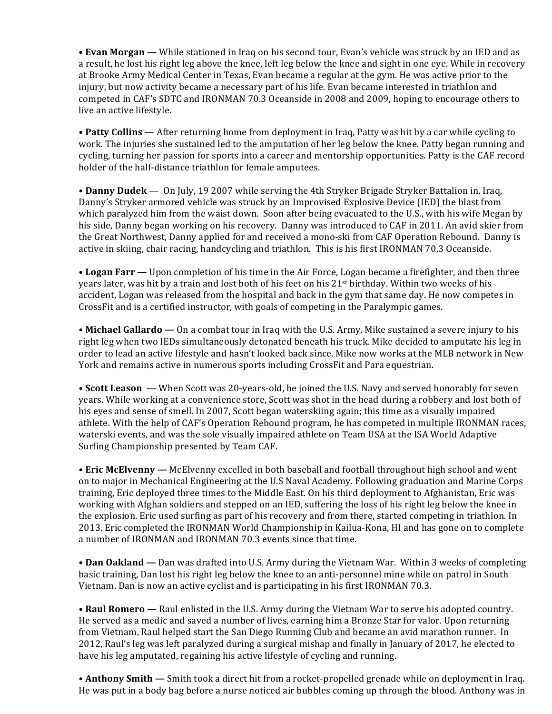• **Evan Morgan** — While stationed in Iraq on his second tour, Evan's vehicle was struck by an IED and as a result, he lost his right leg above the knee, left leg below the knee and sight in one eye. While in recovery at Brooke Army Medical Center in Texas, Evan became a regular at the gym. He was active prior to the injury, but now activity became a necessary part of his life. Evan became interested in triathlon and competed in CAF's SDTC and IRONMAN 70.3 Oceanside in 2008 and 2009, hoping to encourage others to live an active lifestyle.

• **Patty Collins** — After returning home from deployment in Iraq, Patty was hit by a car while cycling to work. The injuries she sustained led to the amputation of her leg below the knee. Patty began running and cycling, turning her passion for sports into a career and mentorship opportunities. Patty is the CAF record holder of the half-distance triathlon for female amputees.

• **Danny Dudek** — On July, 19 2007 while serving the 4th Stryker Brigade Stryker Battalion in, Iraq, Danny's Stryker armored vehicle was struck by an Improvised Explosive Device (IED) the blast from which paralyzed him from the waist down. Soon after being evacuated to the U.S., with his wife Megan by his side, Danny began working on his recovery. Danny was introduced to CAF in 2011. An avid skier from the Great Northwest, Danny applied for and received a mono-ski from CAF Operation Rebound. Danny is active in skiing, chair racing, handcycling and triathlon. This is his first IRONMAN 70.3 Oceanside.

• Logan Farr — Upon completion of his time in the Air Force, Logan became a firefighter, and then three years later, was hit by a train and lost both of his feet on his 21<sup>st</sup> birthday. Within two weeks of his accident, Logan was released from the hospital and back in the gym that same day. He now competes in CrossFit and is a certified instructor, with goals of competing in the Paralympic games.

• **Michael Gallardo** — On a combat tour in Iraq with the U.S. Army, Mike sustained a severe injury to his right leg when two IEDs simultaneously detonated beneath his truck. Mike decided to amputate his leg in order to lead an active lifestyle and hasn't looked back since. Mike now works at the MLB network in New York and remains active in numerous sports including CrossFit and Para equestrian.

• **Scott Leason** — When Scott was 20-years-old, he joined the U.S. Navy and served honorably for seven years. While working at a convenience store, Scott was shot in the head during a robbery and lost both of his eyes and sense of smell. In 2007, Scott began waterskiing again; this time as a visually impaired athlete. With the help of CAF's Operation Rebound program, he has competed in multiple IRONMAN races, waterski events, and was the sole visually impaired athlete on Team USA at the ISA World Adaptive Surfing Championship presented by Team CAF.

• **Eric McElvenny** — McElvenny excelled in both baseball and football throughout high school and went on to major in Mechanical Engineering at the U.S Naval Academy. Following graduation and Marine Corps training, Eric deployed three times to the Middle East. On his third deployment to Afghanistan, Eric was working with Afghan soldiers and stepped on an IED, suffering the loss of his right leg below the knee in the explosion. Eric used surfing as part of his recovery and from there, started competing in triathlon. In 2013, Eric completed the IRONMAN World Championship in Kailua-Kona, HI and has gone on to complete a number of IRONMAN and IRONMAN 70.3 events since that time.

• **Dan Oakland** — Dan was drafted into U.S. Army during the Vietnam War. Within 3 weeks of completing basic training, Dan lost his right leg below the knee to an anti-personnel mine while on patrol in South Vietnam. Dan is now an active cyclist and is participating in his first IRONMAN 70.3.

• Raul Romero - Raul enlisted in the U.S. Army during the Vietnam War to serve his adopted country. He served as a medic and saved a number of lives, earning him a Bronze Star for valor. Upon returning from Vietnam, Raul helped start the San Diego Running Club and became an avid marathon runner. In 2012, Raul's leg was left paralyzed during a surgical mishap and finally in January of 2017, he elected to have his leg amputated, regaining his active lifestyle of cycling and running.

• Anthony Smith — Smith took a direct hit from a rocket-propelled grenade while on deployment in Iraq. He was put in a body bag before a nurse noticed air bubbles coming up through the blood. Anthony was in